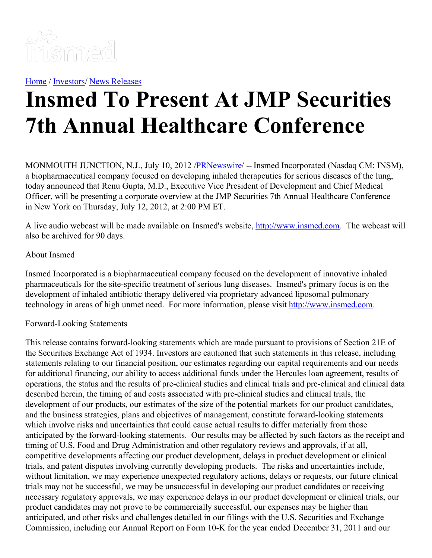

[Home](https://insmed.com/) / [Investors](https://investor.insmed.com/index)/ News [Releases](https://investor.insmed.com/releases)

## **Insmed To Present At JMP Securities 7th Annual Healthcare Conference**

MONMOUTH JUNCTION, N.J., July 10, 2012 /**PRNewswire/** -- Insmed Incorporated (Nasdaq CM: INSM), a biopharmaceutical company focused on developing inhaled therapeutics for serious diseases of the lung, today announced that Renu Gupta, M.D., Executive Vice President of Development and Chief Medical Officer, will be presenting a corporate overview at the JMP Securities 7th Annual Healthcare Conference in New York on Thursday, July 12, 2012, at 2:00 PM ET.

A live audio webcast will be made available on Insmed's website, [http://www.insmed.com](http://www.insmed.com/). The webcast will also be archived for 90 days.

## About Insmed

Insmed Incorporated is a biopharmaceutical company focused on the development of innovative inhaled pharmaceuticals for the site-specific treatment of serious lung diseases. Insmed's primary focus is on the development of inhaled antibiotic therapy delivered via proprietary advanced liposomal pulmonary technology in areas of high unmet need. For more information, please visit [http://www.insmed.com](http://www.insmed.com/).

## Forward-Looking Statements

This release contains forward-looking statements which are made pursuant to provisions of Section 21E of the Securities Exchange Act of 1934. Investors are cautioned that such statements in this release, including statements relating to our financial position, our estimates regarding our capital requirements and our needs for additional financing, our ability to access additional funds under the Hercules loan agreement, results of operations, the status and the results of pre-clinical studies and clinical trials and pre-clinical and clinical data described herein, the timing of and costs associated with pre-clinical studies and clinical trials, the development of our products, our estimates of the size of the potential markets for our product candidates, and the business strategies, plans and objectives of management, constitute forward-looking statements which involve risks and uncertainties that could cause actual results to differ materially from those anticipated by the forward-looking statements. Our results may be affected by such factors as the receipt and timing of U.S. Food and Drug Administration and other regulatory reviews and approvals, if at all, competitive developments affecting our product development, delays in product development or clinical trials, and patent disputes involving currently developing products. The risks and uncertainties include, without limitation, we may experience unexpected regulatory actions, delays or requests, our future clinical trials may not be successful, we may be unsuccessful in developing our product candidates or receiving necessary regulatory approvals, we may experience delays in our product development or clinical trials, our product candidates may not prove to be commercially successful, our expenses may be higher than anticipated, and other risks and challenges detailed in our filings with the U.S. Securities and Exchange Commission, including our Annual Report on Form 10-K for the year ended December 31, 2011 and our